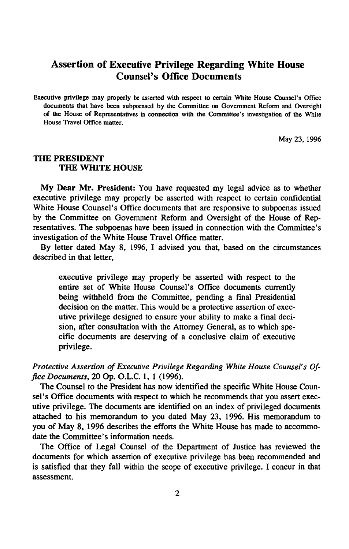## **Assertion of Executive Privilege Regarding White House Counsel's Office Documents**

Executive privilege may properly be asserted with respect to certain White House Counsel's Office documents that have been subpoenaed by the Committee on Government Reform and Oversight of the House of Representatives in connection with the Committee's investigation of the White House Travel Office matter.

May 23, 1996

## THE PRESIDENT THE WHITE HOUSE

My Dear Mr. President: You have requested my legal advice as to whether executive privilege may properly be asserted with respect to certain confidential White House Counsel's Office documents that are responsive to subpoenas issued by the Committee on Government Reform and Oversight of the House of Representatives. The subpoenas have been issued in connection with the Committee's investigation of the White House Travel Office matter.

By letter dated May 8, 1996, I advised you that, based on the circumstances described in that letter,

executive privilege may properly be asserted with respect to the entire set of White House Counsel's Office documents currently being withheld from the Committee, pending a final Presidential decision on the matter. This would be a protective assertion of executive privilege designed to ensure your ability to make a final decision, after consultation with the Attorney General, as to which specific documents are deserving of a conclusive claim of executive privilege.

## Protective Assertion of Executive Privilege Regarding White House Counsel's Of*fice Documents,* 20 Op. O.L.C. 1, 1 (1996).

The Counsel to the President has now identified the specific White House Counsel's Office documents with respect to which he recommends that you assert executive privilege. The documents are identified on an index of privileged documents attached to his memorandum to you dated May 23, 1996. His memorandum to you of May 8, 1996 describes the efforts the White House has made to accommodate the Committee's information needs.

The Office of Legal Counsel of the Department of Justice has reviewed the documents for which assertion of executive privilege has been recommended and is satisfied that they fall within the scope of executive privilege. I concur in that assessment.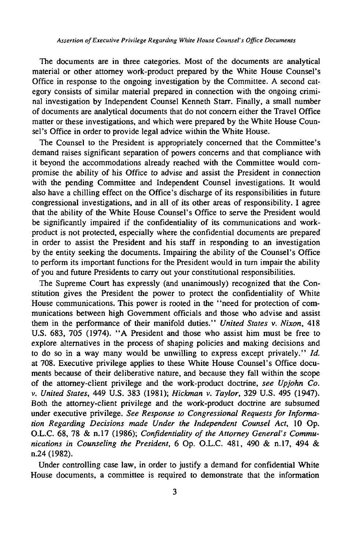The documents are in three categories. Most of the documents are analytical material or other attorney work-product prepared by the White House Counsel's Office in response to the ongoing investigation by the Committee. A second category consists of similar material prepared in connection with the ongoing criminal investigation by Independent Counsel Kenneth Starr. Finally, a small number of documents are analytical documents that do not concern either the Travel Office matter or these investigations, and which were prepared by the White House Counsel's Office in order to provide legal advice within the White House.

The Counsel to the President is appropriately concerned that the Committee's demand raises significant separation of powers concerns and that compliance with it beyond the accommodations already reached with the Committee would compromise the ability of his Office to advise and assist the President in connection with the pending Committee and Independent Counsel investigations. It would also have a chilling effect on the Office's discharge of its responsibilities in future congressional investigations, and in all of its other areas of responsibility. I agree that the ability of the White House Counsel's Office to serve the President would be significantly impaired if the confidentiality of its communications and workproduct is not protected, especially where the confidential documents are prepared in order to assist the President and his staff in responding to an investigation by the entity seeking the documents. Impairing the ability of the Counsel's Office to perform its important functions for the President would in turn impair the ability of you and future Presidents to carry out your constitutional responsibilities.

The Supreme Court has expressly (and unanimously) recognized that the Constitution gives the President the power to protect the confidentiality of White House communications. This power is rooted in the "need for protection of communications between high Government officials and those who advise and assist them in the performance of their manifold duties." *United States* v. *Nixon,* 418 U.S. 683, 705 (1974). " A President and those who assist him must be free to explore alternatives in the process of shaping policies and making decisions and to do so in a way many would be unwilling to express except privately." *Id.* at 708. Executive privilege applies to these White House Counsel's Office documents because of their deliberative nature, and because they fall within the scope of the attomey-client privilege and the work-product doctrine, *see Upjohn Co. v. United States,* 449 U.S. 383 (1981); *Hickman* v. *Taylor,* 329 U.S. 495 (1947). Both the attomey-client privilege and the work-product doctrine are subsumed under executive privilege. *See Response to Congressional Requests for Information Regarding Decisions made Under the Independent Counsel Act,* 10 Op. O.L.C. 68, 78 & n.17 (1986); *Confidentiality of the Attorney General's Communications in Counseling the President,* 6 Op. O.L.C. 481, 490 & n.17, 494 & n.24 (1982).

Under controlling case law, in order to justify a demand for confidential White House documents, a committee is required to demonstrate that the information